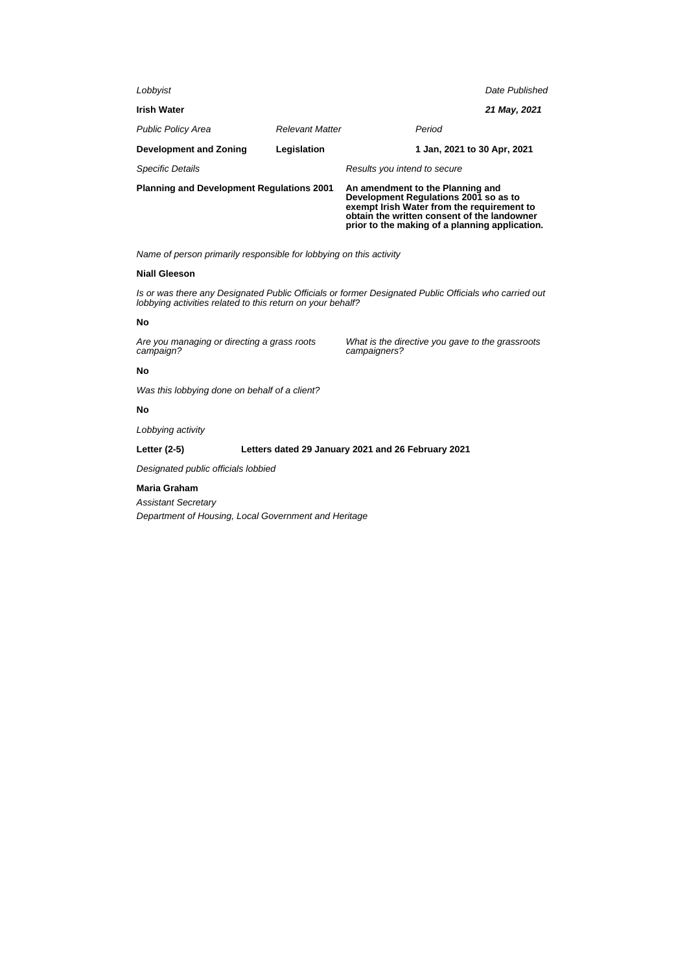| <b>Planning and Development Regulations 2001</b> |                        | An amendment to the Planning and<br>Development Regulations 2001 so as to<br>exempt Irish Water from the requirement to<br>obtain the written consent of the landowner |                             |  |
|--------------------------------------------------|------------------------|------------------------------------------------------------------------------------------------------------------------------------------------------------------------|-----------------------------|--|
| <b>Specific Details</b>                          |                        | Results you intend to secure                                                                                                                                           |                             |  |
| <b>Development and Zoning</b>                    | Legislation            |                                                                                                                                                                        | 1 Jan, 2021 to 30 Apr, 2021 |  |
| <b>Public Policy Area</b>                        | <b>Relevant Matter</b> | Period                                                                                                                                                                 |                             |  |
| <b>Irish Water</b>                               |                        |                                                                                                                                                                        | 21 May, 2021                |  |
| Lobbyist                                         |                        |                                                                                                                                                                        | Date Published              |  |
|                                                  |                        |                                                                                                                                                                        |                             |  |

Name of person primarily responsible for lobbying on this activity

# **Niall Gleeson**

Is or was there any Designated Public Officials or former Designated Public Officials who carried out lobbying activities related to this return on your behalf?

## **No**

Are you managing or directing a grass roots campaign?

What is the directive you gave to the grassroots campaigners?

**prior to the making of a planning application.**

## **No**

Was this lobbying done on behalf of a client?

# **No**

Lobbying activity

## **Letter (2-5) Letters dated 29 January 2021 and 26 February 2021**

Designated public officials lobbied

### **Maria Graham**

Assistant Secretary

Department of Housing, Local Government and Heritage